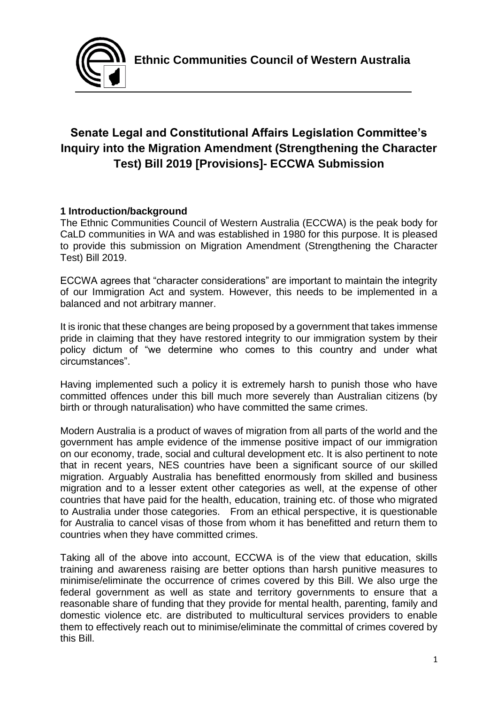

# **Senate Legal and Constitutional Affairs Legislation Committee's Inquiry into the Migration Amendment (Strengthening the Character Test) Bill 2019 [Provisions]- ECCWA Submission**

# **1 Introduction/background**

The Ethnic Communities Council of Western Australia (ECCWA) is the peak body for CaLD communities in WA and was established in 1980 for this purpose. It is pleased to provide this submission on Migration Amendment (Strengthening the Character Test) Bill 2019.

ECCWA agrees that "character considerations" are important to maintain the integrity of our Immigration Act and system. However, this needs to be implemented in a balanced and not arbitrary manner.

It is ironic that these changes are being proposed by a government that takes immense pride in claiming that they have restored integrity to our immigration system by their policy dictum of "we determine who comes to this country and under what circumstances".

Having implemented such a policy it is extremely harsh to punish those who have committed offences under this bill much more severely than Australian citizens (by birth or through naturalisation) who have committed the same crimes.

Modern Australia is a product of waves of migration from all parts of the world and the government has ample evidence of the immense positive impact of our immigration on our economy, trade, social and cultural development etc. It is also pertinent to note that in recent years, NES countries have been a significant source of our skilled migration. Arguably Australia has benefitted enormously from skilled and business migration and to a lesser extent other categories as well, at the expense of other countries that have paid for the health, education, training etc. of those who migrated to Australia under those categories. From an ethical perspective, it is questionable for Australia to cancel visas of those from whom it has benefitted and return them to countries when they have committed crimes.

Taking all of the above into account, ECCWA is of the view that education, skills training and awareness raising are better options than harsh punitive measures to minimise/eliminate the occurrence of crimes covered by this Bill. We also urge the federal government as well as state and territory governments to ensure that a reasonable share of funding that they provide for mental health, parenting, family and domestic violence etc. are distributed to multicultural services providers to enable them to effectively reach out to minimise/eliminate the committal of crimes covered by this Bill.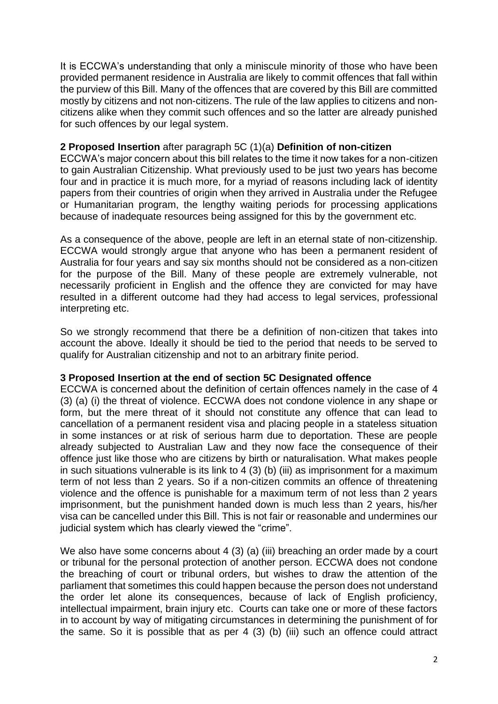It is ECCWA's understanding that only a miniscule minority of those who have been provided permanent residence in Australia are likely to commit offences that fall within the purview of this Bill. Many of the offences that are covered by this Bill are committed mostly by citizens and not non-citizens. The rule of the law applies to citizens and noncitizens alike when they commit such offences and so the latter are already punished for such offences by our legal system.

## **2 Proposed Insertion** after paragraph 5C (1)(a) **Definition of non-citizen**

ECCWA's major concern about this bill relates to the time it now takes for a non-citizen to gain Australian Citizenship. What previously used to be just two years has become four and in practice it is much more, for a myriad of reasons including lack of identity papers from their countries of origin when they arrived in Australia under the Refugee or Humanitarian program, the lengthy waiting periods for processing applications because of inadequate resources being assigned for this by the government etc.

As a consequence of the above, people are left in an eternal state of non-citizenship. ECCWA would strongly argue that anyone who has been a permanent resident of Australia for four years and say six months should not be considered as a non-citizen for the purpose of the Bill. Many of these people are extremely vulnerable, not necessarily proficient in English and the offence they are convicted for may have resulted in a different outcome had they had access to legal services, professional interpreting etc.

So we strongly recommend that there be a definition of non-citizen that takes into account the above. Ideally it should be tied to the period that needs to be served to qualify for Australian citizenship and not to an arbitrary finite period.

#### **3 Proposed Insertion at the end of section 5C Designated offence**

ECCWA is concerned about the definition of certain offences namely in the case of 4 (3) (a) (i) the threat of violence. ECCWA does not condone violence in any shape or form, but the mere threat of it should not constitute any offence that can lead to cancellation of a permanent resident visa and placing people in a stateless situation in some instances or at risk of serious harm due to deportation. These are people already subjected to Australian Law and they now face the consequence of their offence just like those who are citizens by birth or naturalisation. What makes people in such situations vulnerable is its link to 4 (3) (b) (iii) as imprisonment for a maximum term of not less than 2 years. So if a non-citizen commits an offence of threatening violence and the offence is punishable for a maximum term of not less than 2 years imprisonment, but the punishment handed down is much less than 2 years, his/her visa can be cancelled under this Bill. This is not fair or reasonable and undermines our judicial system which has clearly viewed the "crime".

We also have some concerns about 4 (3) (a) (iii) breaching an order made by a court or tribunal for the personal protection of another person. ECCWA does not condone the breaching of court or tribunal orders, but wishes to draw the attention of the parliament that sometimes this could happen because the person does not understand the order let alone its consequences, because of lack of English proficiency, intellectual impairment, brain injury etc. Courts can take one or more of these factors in to account by way of mitigating circumstances in determining the punishment of for the same. So it is possible that as per 4 (3) (b) (iii) such an offence could attract